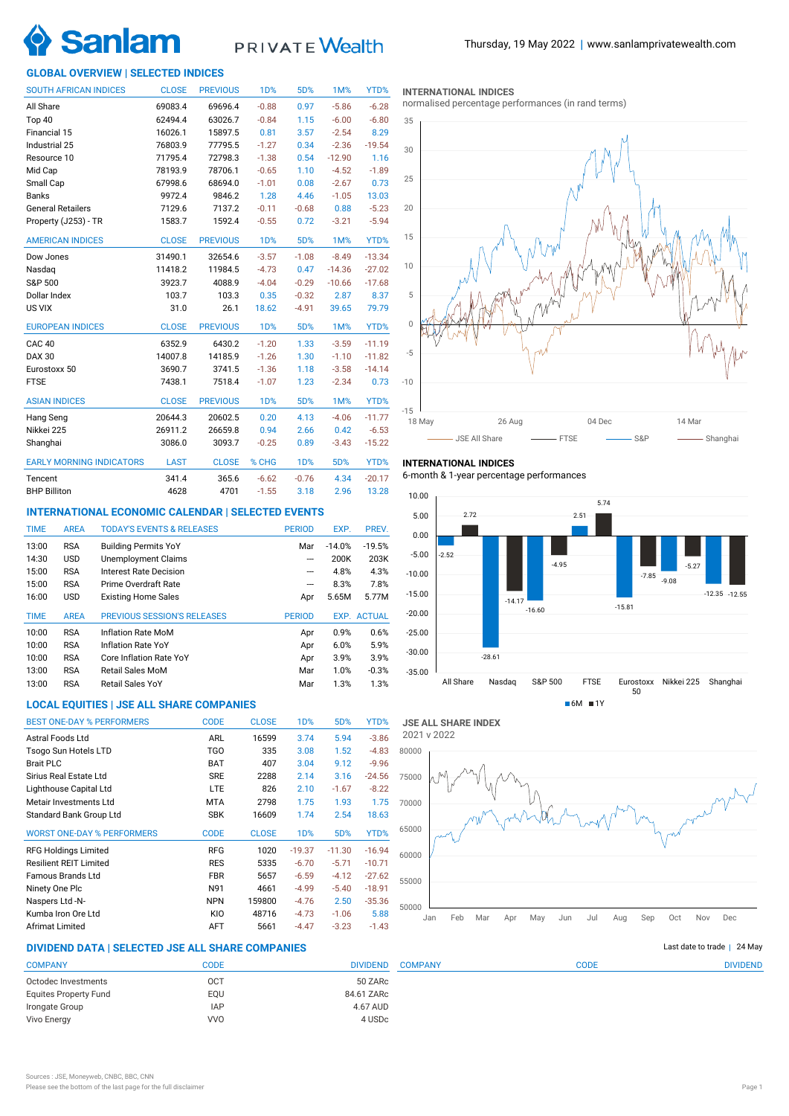

# PRIVATE Wealth

# **GLOBAL OVERVIEW | SELECTED INDICES**

| <b>SOUTH AFRICAN INDICES</b>    | <b>CLOSE</b> | <b>PREVIOUS</b> | 1D%              | 5D%              | 1M%      | YTD%     |
|---------------------------------|--------------|-----------------|------------------|------------------|----------|----------|
| All Share                       | 69083.4      | 69696.4         | $-0.88$          | 0.97             | $-5.86$  | $-6.28$  |
| Top 40                          | 62494.4      | 63026.7         | $-0.84$          | 1.15             | $-6.00$  | $-6.80$  |
| Financial 15                    | 16026.1      | 15897.5         | 0.81             | 3.57             | $-2.54$  | 8.29     |
| Industrial 25                   | 76803.9      | 77795.5         | $-1.27$          | 0.34             | $-2.36$  | $-19.54$ |
| Resource 10                     | 71795.4      | 72798.3         | $-1.38$          | 0.54             | $-12.90$ | 1.16     |
| Mid Cap                         | 78193.9      | 78706.1         | $-0.65$          | 1.10             | $-4.52$  | $-1.89$  |
| Small Cap                       | 67998.6      | 68694.0         | $-1.01$          | 0.08             | $-2.67$  | 0.73     |
| <b>Banks</b>                    | 9972.4       | 9846.2          | 1.28             | 4.46             | $-1.05$  | 13.03    |
| <b>General Retailers</b>        | 7129.6       | 7137.2          | $-0.11$          | $-0.68$          | 0.88     | $-5.23$  |
| Property (J253) - TR            | 1583.7       | 1592.4          | $-0.55$          | 0.72             | $-3.21$  | $-5.94$  |
| <b>AMERICAN INDICES</b>         | <b>CLOSE</b> | <b>PREVIOUS</b> | 1 <sub>D</sub> % | 5D%              | 1M%      | YTD%     |
| Dow Jones                       | 31490.1      | 32654.6         | $-3.57$          | $-1.08$          | $-8.49$  | $-13.34$ |
| Nasdag                          | 11418.2      | 11984.5         | $-4.73$          | 0.47             | $-14.36$ | $-27.02$ |
| S&P 500                         | 3923.7       | 4088.9          | $-4.04$          | $-0.29$          | $-10.66$ | $-17.68$ |
| Dollar Index                    | 103.7        | 103.3           | 0.35             | $-0.32$          | 2.87     | 8.37     |
| US VIX                          | 31.0         | 26.1            | 18.62            | $-4.91$          | 39.65    | 79.79    |
| <b>EUROPEAN INDICES</b>         | <b>CLOSE</b> | <b>PREVIOUS</b> | <b>1D%</b>       | 5D%              | 1M%      | YTD%     |
| CAC <sub>40</sub>               | 6352.9       | 6430.2          | $-1.20$          | 1.33             | $-3.59$  | $-11.19$ |
| <b>DAX 30</b>                   | 14007.8      | 14185.9         | $-1.26$          | 1.30             | $-1.10$  | $-11.82$ |
| Eurostoxx 50                    | 3690.7       | 3741.5          | $-1.36$          | 1.18             | $-3.58$  | $-14.14$ |
| <b>FTSE</b>                     | 7438.1       | 7518.4          | $-1.07$          | 1.23             | $-2.34$  | 0.73     |
| <b>ASIAN INDICES</b>            | <b>CLOSE</b> | <b>PREVIOUS</b> | <b>1D%</b>       | 5D%              | 1M%      | YTD%     |
| Hang Seng                       | 20644.3      | 20602.5         | 0.20             | 4.13             | $-4.06$  | $-11.77$ |
| Nikkei 225                      | 26911.2      | 26659.8         | 0.94             | 2.66             | 0.42     | $-6.53$  |
| Shanghai                        | 3086.0       | 3093.7          | $-0.25$          | 0.89             | $-3.43$  | $-15.22$ |
| <b>EARLY MORNING INDICATORS</b> | <b>LAST</b>  | <b>CLOSE</b>    | % CHG            | 1 <sub>D</sub> % | 5D%      | YTD%     |
| Tencent                         | 341.4        | 365.6           | $-6.62$          | $-0.76$          | 4.34     | $-20.17$ |
| <b>BHP Billiton</b>             | 4628         | 4701            | $-1.55$          | 3.18             | 2.96     | 13.28    |

# **INTERNATIONAL ECONOMIC CALENDAR | SELECTED EVENTS**

| <b>TIME</b> | <b>AREA</b> | <b>TODAY'S EVENTS &amp; RELEASES</b> | <b>PERIOD</b>            | EXP.     | PREV.              |
|-------------|-------------|--------------------------------------|--------------------------|----------|--------------------|
| 13:00       | <b>RSA</b>  | <b>Building Permits YoY</b>          | Mar                      | $-14.0%$ | $-19.5%$           |
| 14:30       | <b>USD</b>  | Unemployment Claims                  | ---                      | 200K     | 203K               |
| 15:00       | <b>RSA</b>  | Interest Rate Decision               | ---                      | 4.8%     | 4.3%               |
| 15:00       | <b>RSA</b>  | Prime Overdraft Rate                 | $\overline{\phantom{a}}$ | 8.3%     | 7.8%               |
| 16:00       | <b>USD</b>  | <b>Existing Home Sales</b>           | Apr                      | 5.65M    | 5.77M              |
|             |             |                                      |                          |          |                    |
| <b>TIME</b> | <b>AREA</b> | PREVIOUS SESSION'S RELEASES          | <b>PERIOD</b>            |          | <b>EXP. ACTUAL</b> |
| 10:00       | <b>RSA</b>  | Inflation Rate MoM                   | Apr                      | 0.9%     | 0.6%               |
| 10:00       | <b>RSA</b>  | Inflation Rate YoY                   | Apr                      | 6.0%     | 5.9%               |
| 10:00       | <b>RSA</b>  | Core Inflation Rate YoY              | Apr                      | 3.9%     | 3.9%               |
| 13:00       | <b>RSA</b>  | Retail Sales MoM                     | Mar                      | 1.0%     | $-0.3%$            |
| 13:00       | <b>RSA</b>  | Retail Sales YoY                     | Mar                      | 1.3%     | 1.3%               |

# **LOCAL EQUITIES | JSE ALL SHARE COMPANIES**

| <b>BEST ONE-DAY % PERFORMERS</b>  | <b>CODE</b> | <b>CLOSE</b> | 1 <sub>D</sub> % | 5D%      | YTD%     |
|-----------------------------------|-------------|--------------|------------------|----------|----------|
| Astral Foods Ltd                  | <b>ARL</b>  | 16599        | 3.74             | 5.94     | $-3.86$  |
| Tsogo Sun Hotels LTD              | TGO         | 335          | 3.08             | 1.52     | $-4.83$  |
| <b>Brait PLC</b>                  | <b>BAT</b>  | 407          | 3.04             | 9.12     | $-9.96$  |
| Sirius Real Estate Ltd            | <b>SRE</b>  | 2288         | 2.14             | 3.16     | $-24.56$ |
| Lighthouse Capital Ltd            | <b>LTE</b>  | 826          | 2.10             | $-1.67$  | $-8.22$  |
| Metair Investments Ltd            | <b>MTA</b>  | 2798         | 1.75             | 1.93     | 1.75     |
| Standard Bank Group Ltd           | <b>SBK</b>  | 16609        | 1.74             | 2.54     | 18.63    |
| <b>WORST ONE-DAY % PERFORMERS</b> | <b>CODE</b> | <b>CLOSE</b> | 1 <sub>D</sub> % | 5D%      | YTD%     |
| <b>RFG Holdings Limited</b>       | <b>RFG</b>  | 1020         | $-19.37$         | $-11.30$ | $-16.94$ |
| <b>Resilient REIT Limited</b>     | <b>RES</b>  | 5335         | $-6.70$          | $-5.71$  | $-10.71$ |
| Famous Brands Ltd                 | <b>FBR</b>  | 5657         | $-6.59$          | $-4.12$  | $-27.62$ |
| Ninety One Plc                    | N91         | 4661         | $-4.99$          | $-5.40$  | $-18.91$ |
| Naspers Ltd -N-                   | <b>NPN</b>  | 159800       | $-4.76$          | 2.50     | $-35.36$ |
| Kumba Iron Ore Ltd                | KIO         | 48716        | $-4.73$          | $-1.06$  | 5.88     |
| Afrimat Limited                   | <b>AFT</b>  | 5661         | $-4.47$          | $-3.23$  | $-1.43$  |

### **INTERNATIONAL INDICES**

normalised percentage performances (in rand terms)



# **INTERNATIONAL INDICES**

6-month & 1-year percentage performances





COMPANY CODE DIVIDEND

# **DIVIDEND DATA | SELECTED JSE ALL SHARE COMPANIES |**

| <b>COMPANY</b>               | CODE       | <b>DIVIDEND</b> |
|------------------------------|------------|-----------------|
| Octodec Investments          | OCT        | 50 ZARc         |
| <b>Equites Property Fund</b> | EOU        | 84.61 ZARc      |
| Irongate Group               | <b>IAP</b> | 4.67 AUD        |
| Vivo Energy                  | <b>VVO</b> | 4 USDc          |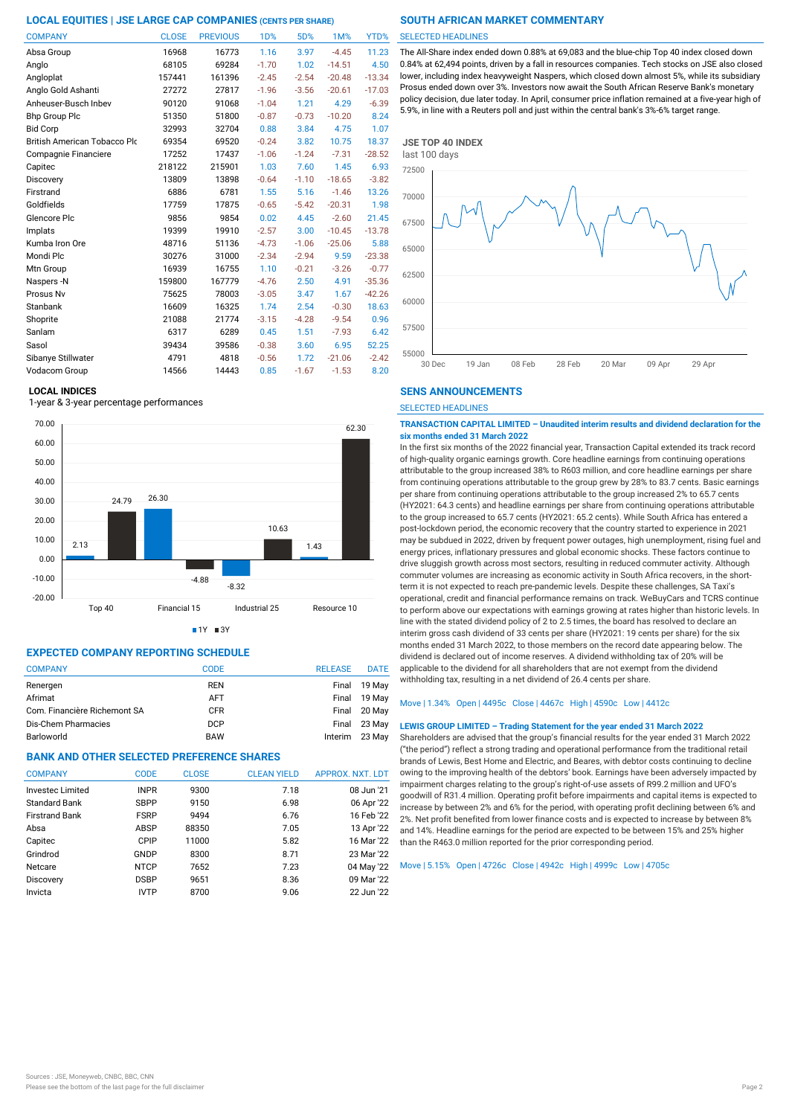| <b>COMPANY</b>               | <b>CLOSE</b> | <b>PREVIOUS</b> | <b>1D%</b> | 5D%     | 1M%      | YTD%     |
|------------------------------|--------------|-----------------|------------|---------|----------|----------|
| Absa Group                   | 16968        | 16773           | 1.16       | 3.97    | $-4.45$  | 11.23    |
| Anglo                        | 68105        | 69284           | $-1.70$    | 1.02    | $-14.51$ | 4.50     |
| Angloplat                    | 157441       | 161396          | $-2.45$    | $-2.54$ | $-20.48$ | $-13.34$ |
| Anglo Gold Ashanti           | 27272        | 27817           | $-1.96$    | $-3.56$ | $-20.61$ | $-17.03$ |
| Anheuser-Busch Inbev         | 90120        | 91068           | $-1.04$    | 1.21    | 4.29     | $-6.39$  |
| <b>Bhp Group Plc</b>         | 51350        | 51800           | $-0.87$    | $-0.73$ | $-10.20$ | 8.24     |
| <b>Bid Corp</b>              | 32993        | 32704           | 0.88       | 3.84    | 4.75     | 1.07     |
| British American Tobacco Plo | 69354        | 69520           | $-0.24$    | 3.82    | 10.75    | 18.37    |
| Compagnie Financiere         | 17252        | 17437           | $-1.06$    | $-1.24$ | $-7.31$  | $-28.52$ |
| Capitec                      | 218122       | 215901          | 1.03       | 7.60    | 1.45     | 6.93     |
| Discovery                    | 13809        | 13898           | $-0.64$    | $-1.10$ | $-18.65$ | $-3.82$  |
| Firstrand                    | 6886         | 6781            | 1.55       | 5.16    | $-1.46$  | 13.26    |
| Goldfields                   | 17759        | 17875           | $-0.65$    | $-5.42$ | $-20.31$ | 1.98     |
| Glencore Plc                 | 9856         | 9854            | 0.02       | 4.45    | $-2.60$  | 21.45    |
| Implats                      | 19399        | 19910           | $-2.57$    | 3.00    | $-10.45$ | $-13.78$ |
| Kumba Iron Ore               | 48716        | 51136           | $-4.73$    | $-1.06$ | $-25.06$ | 5.88     |
| Mondi Plc                    | 30276        | 31000           | $-2.34$    | $-2.94$ | 9.59     | $-23.38$ |
| Mtn Group                    | 16939        | 16755           | 1.10       | $-0.21$ | $-3.26$  | $-0.77$  |
| Naspers -N                   | 159800       | 167779          | $-4.76$    | 2.50    | 4.91     | $-35.36$ |
| Prosus Nv                    | 75625        | 78003           | $-3.05$    | 3.47    | 1.67     | $-42.26$ |
| Stanbank                     | 16609        | 16325           | 1.74       | 2.54    | $-0.30$  | 18.63    |
| Shoprite                     | 21088        | 21774           | $-3.15$    | $-4.28$ | $-9.54$  | 0.96     |
| Sanlam                       | 6317         | 6289            | 0.45       | 1.51    | $-7.93$  | 6.42     |
| Sasol                        | 39434        | 39586           | $-0.38$    | 3.60    | 6.95     | 52.25    |
| Sibanye Stillwater           | 4791         | 4818            | $-0.56$    | 1.72    | $-21.06$ | $-2.42$  |
| Vodacom Group                | 14566        | 14443           | 0.85       | $-1.67$ | $-1.53$  | 8.20     |

# **LOCAL INDICES**

1-year & 3-year percentage performances



 $1Y = 3Y$ 

# **EXPECTED COMPANY REPORTING SCHEDULE**

| <b>COMPANY</b>               | CODE       | <b>RELEASE</b> | <b>DATE</b> |
|------------------------------|------------|----------------|-------------|
| Renergen                     | <b>REN</b> | Final          | 19 May      |
| Afrimat                      | <b>AFT</b> | Final          | 19 May      |
| Com. Financière Richemont SA | <b>CFR</b> | Final          | 20 May      |
| Dis-Chem Pharmacies          | <b>DCP</b> | Final          | 23 May      |
| Barloworld                   | <b>BAW</b> | Interim        | 23 May      |

# **BANK AND OTHER SELECTED PREFERENCE SHARES**

| <b>COMPANY</b>          | <b>CODE</b> | <b>CLOSE</b> | <b>CLEAN YIELD</b> | APPROX. NXT. LDT |
|-------------------------|-------------|--------------|--------------------|------------------|
| <b>Investec Limited</b> | <b>INPR</b> | 9300         | 7.18               | 08 Jun '21       |
| <b>Standard Bank</b>    | <b>SBPP</b> | 9150         | 6.98               | 06 Apr '22       |
| <b>Firstrand Bank</b>   | <b>FSRP</b> | 9494         | 6.76               | 16 Feb '22       |
| Absa                    | ABSP        | 88350        | 7.05               | 13 Apr '22       |
| Capitec                 | CPIP        | 11000        | 5.82               | 16 Mar '22       |
| Grindrod                | GNDP        | 8300         | 8.71               | 23 Mar '22       |
| Netcare                 | <b>NTCP</b> | 7652         | 7.23               | 04 May '22       |
| Discovery               | <b>DSBP</b> | 9651         | 8.36               | 09 Mar '22       |
| Invicta                 | <b>IVTP</b> | 8700         | 9.06               | 22 Jun '22       |
|                         |             |              |                    |                  |

#### SELECTED HEADLINES

The All-Share index ended down 0.88% at 69,083 and the blue-chip Top 40 index closed down 0.84% at 62,494 points, driven by a fall in resources companies. Tech stocks on JSE also closed lower, including index heavyweight Naspers, which closed down almost 5%, while its subsidiary Prosus ended down over 3%. Investors now await the South African Reserve Bank's monetary policy decision, due later today. In April, consumer price inflation remained at a five-year high of 5.9%, in line with a Reuters poll and just within the central bank's 3%-6% target range.



### **SENS ANNOUNCEMENTS**

SELECTED HEADLINES

#### **TRANSACTION CAPITAL LIMITED – Unaudited interim results and dividend declaration for the six months ended 31 March 2022**

In the first six months of the 2022 financial year, Transaction Capital extended its track record of high-quality organic earnings growth. Core headline earnings from continuing operations attributable to the group increased 38% to R603 million, and core headline earnings per share from continuing operations attributable to the group grew by 28% to 83.7 cents. Basic earnings per share from continuing operations attributable to the group increased 2% to 65.7 cents (HY2021: 64.3 cents) and headline earnings per share from continuing operations attributable to the group increased to 65.7 cents (HY2021: 65.2 cents). While South Africa has entered a post-lockdown period, the economic recovery that the country started to experience in 2021 may be subdued in 2022, driven by frequent power outages, high unemployment, rising fuel and energy prices, inflationary pressures and global economic shocks. These factors continue to drive sluggish growth across most sectors, resulting in reduced commuter activity. Although commuter volumes are increasing as economic activity in South Africa recovers, in the shortterm it is not expected to reach pre-pandemic levels. Despite these challenges, SA Taxi's operational, credit and financial performance remains on track. WeBuyCars and TCRS continue to perform above our expectations with earnings growing at rates higher than historic levels. In line with the stated dividend policy of 2 to 2.5 times, the board has resolved to declare an interim gross cash dividend of 33 cents per share (HY2021: 19 cents per share) for the six months ended 31 March 2022, to those members on the record date appearing below. The dividend is declared out of income reserves. A dividend withholding tax of 20% will be applicable to the dividend for all shareholders that are not exempt from the dividend withholding tax, resulting in a net dividend of 26.4 cents per share.

# Move | 1.34% Open | 4495c Close | 4467c High | 4590c Low | 4412c

#### **LEWIS GROUP LIMITED – Trading Statement for the year ended 31 March 2022**

Shareholders are advised that the group's financial results for the year ended 31 March 2022 ("the period") reflect a strong trading and operational performance from the traditional retail brands of Lewis, Best Home and Electric, and Beares, with debtor costs continuing to decline owing to the improving health of the debtors' book. Earnings have been adversely impacted by impairment charges relating to the group's right-of-use assets of R99.2 million and UFO's goodwill of R31.4 million. Operating profit before impairments and capital items is expected to increase by between 2% and 6% for the period, with operating profit declining between 6% and 2%. Net profit benefited from lower finance costs and is expected to increase by between 8% and 14%. Headline earnings for the period are expected to be between 15% and 25% higher than the R463.0 million reported for the prior corresponding period.

# Move | 5.15% Open | 4726c Close | 4942c High | 4999c Low | 4705c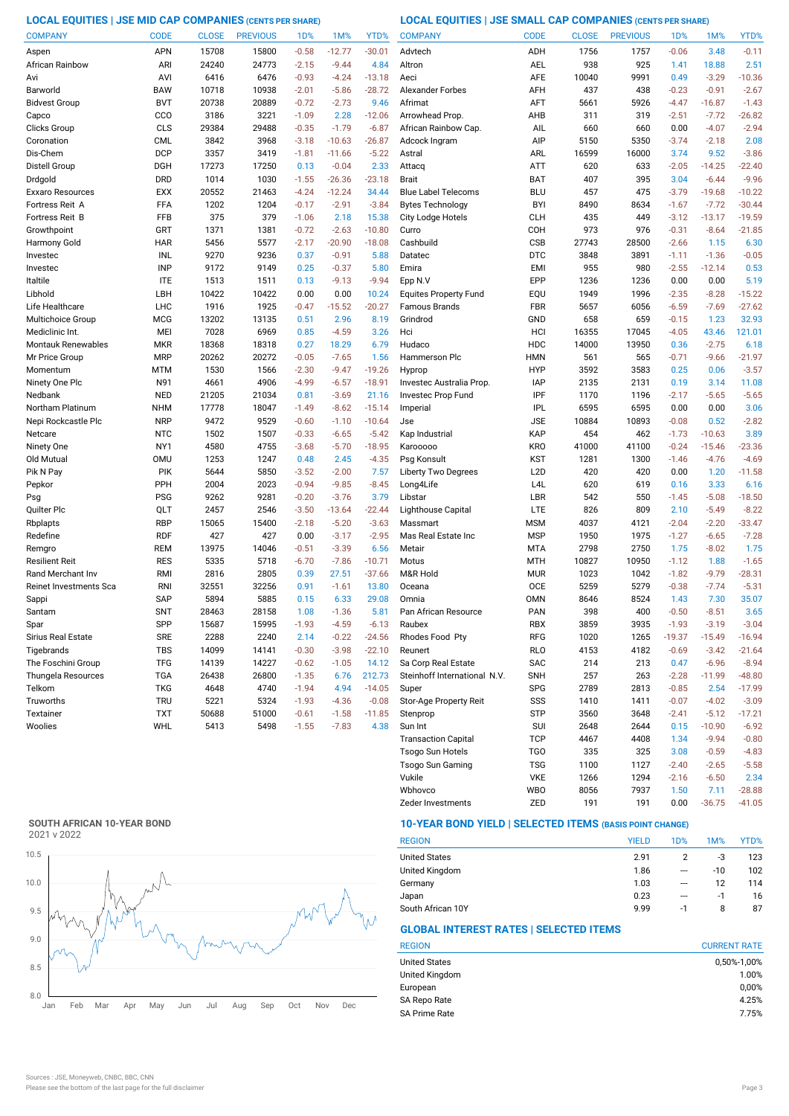**LOCAL EQUITIES | JSE MID CAP COMPANIES (CENTS PER SHARE) LOCAL EQUITIES | JSE SMALL CAP COMPANIES (CENTS PER SHARE)**

| <b>COMPANY</b>            | <b>CODE</b> | <b>CLOSE</b> | <b>PREVIOUS</b> | 1 <sub>D</sub> % | 1M%      | YTD%     | <b>COMPANY</b>               | <b>CODE</b>      | <b>CLOSE</b> | <b>PREVIOUS</b> | 1D%      | 1M%      | YTD%     |
|---------------------------|-------------|--------------|-----------------|------------------|----------|----------|------------------------------|------------------|--------------|-----------------|----------|----------|----------|
| Aspen                     | APN         | 15708        | 15800           | $-0.58$          | $-12.77$ | $-30.01$ | Advtech                      | ADH              | 1756         | 1757            | $-0.06$  | 3.48     | $-0.11$  |
| African Rainbow           | ARI         | 24240        | 24773           | $-2.15$          | $-9.44$  | 4.84     | Altron                       | <b>AEL</b>       | 938          | 925             | 1.41     | 18.88    | 2.51     |
| Avi                       | AVI         | 6416         | 6476            | $-0.93$          | $-4.24$  | $-13.18$ | Aeci                         | <b>AFE</b>       | 10040        | 9991            | 0.49     | $-3.29$  | $-10.36$ |
| Barworld                  | <b>BAW</b>  | 10718        | 10938           | $-2.01$          | $-5.86$  | $-28.72$ | <b>Alexander Forbes</b>      | AFH              | 437          | 438             | $-0.23$  | $-0.91$  | $-2.67$  |
| <b>Bidvest Group</b>      | <b>BVT</b>  | 20738        | 20889           | $-0.72$          | $-2.73$  | 9.46     | Afrimat                      | AFT              | 5661         | 5926            | $-4.47$  | $-16.87$ | $-1.43$  |
| Capco                     | CCO         | 3186         | 3221            | $-1.09$          | 2.28     | $-12.06$ | Arrowhead Prop               | AHB              | 311          | 319             | $-2.51$  | $-7.72$  | $-26.82$ |
| Clicks Group              | CLS         | 29384        | 29488           | $-0.35$          | $-1.79$  | $-6.87$  | African Rainbow Cap.         | AIL              | 660          | 660             | 0.00     | $-4.07$  | $-2.94$  |
| Coronation                | <b>CML</b>  | 3842         | 3968            | $-3.18$          | $-10.63$ | $-26.87$ | Adcock Ingram                | AIP              | 5150         | 5350            | $-3.74$  | $-2.18$  | 2.08     |
| Dis-Chem                  | <b>DCP</b>  | 3357         | 3419            | $-1.81$          | $-11.66$ | $-5.22$  | Astral                       | ARL              | 16599        | 16000           | 3.74     | 9.52     | $-3.86$  |
| Distell Group             | <b>DGH</b>  | 17273        | 17250           | 0.13             | $-0.04$  | 2.33     | Attacq                       | <b>ATT</b>       | 620          | 633             | $-2.05$  | $-14.25$ | $-22.40$ |
| Drdgold                   | <b>DRD</b>  | 1014         | 1030            | $-1.55$          | $-26.36$ | $-23.18$ | <b>Brait</b>                 | BAT              | 407          | 395             | 3.04     | $-6.44$  | $-9.96$  |
| Exxaro Resources          | <b>EXX</b>  | 20552        | 21463           | $-4.24$          | $-12.24$ | 34.44    | <b>Blue Label Telecoms</b>   | <b>BLU</b>       | 457          | 475             | $-3.79$  | $-19.68$ | $-10.22$ |
| Fortress Reit A           | FFA         | 1202         | 1204            | $-0.17$          | $-2.91$  | $-3.84$  | <b>Bytes Technology</b>      | <b>BYI</b>       | 8490         | 8634            | $-1.67$  | $-7.72$  | $-30.44$ |
| Fortress Reit B           | FFB         | 375          | 379             | $-1.06$          | 2.18     | 15.38    | City Lodge Hotels            | <b>CLH</b>       | 435          | 449             | $-3.12$  | $-13.17$ | $-19.59$ |
| Growthpoint               | GRT         | 1371         | 1381            | $-0.72$          | $-2.63$  | $-10.80$ | Curro                        | COH              | 973          | 976             | $-0.31$  | $-8.64$  | $-21.85$ |
| Harmony Gold              | <b>HAR</b>  | 5456         | 5577            | $-2.17$          | $-20.90$ | $-18.08$ | Cashbuild                    | CSB              | 27743        | 28500           | $-2.66$  | 1.15     | 6.30     |
| Investec                  | INL         | 9270         | 9236            | 0.37             | $-0.91$  | 5.88     | Datatec                      | <b>DTC</b>       | 3848         | 3891            | $-1.11$  | $-1.36$  | $-0.05$  |
| Investec                  | <b>INP</b>  | 9172         | 9149            | 0.25             | $-0.37$  | 5.80     | Emira                        | <b>EMI</b>       | 955          | 980             | $-2.55$  | $-12.14$ | 0.53     |
| Italtile                  | <b>ITE</b>  | 1513         | 1511            | 0.13             | $-9.13$  | $-9.94$  | Epp N.V                      | EPP              | 1236         | 1236            | 0.00     | 0.00     | 5.19     |
| Libhold                   | LBH         | 10422        | 10422           | 0.00             | 0.00     | 10.24    | <b>Equites Property Fund</b> | EQU              | 1949         | 1996            | $-2.35$  | $-8.28$  | $-15.22$ |
| Life Healthcare           | <b>LHC</b>  | 1916         | 1925            | $-0.47$          | $-15.52$ | $-20.27$ | <b>Famous Brands</b>         | <b>FBR</b>       | 5657         | 6056            | $-6.59$  | $-7.69$  | $-27.62$ |
| Multichoice Group         | <b>MCG</b>  | 13202        | 13135           | 0.51             | 2.96     | 8.19     | Grindrod                     | GND              | 658          | 659             | $-0.15$  | 1.23     | 32.93    |
| Mediclinic Int.           | MEI         | 7028         | 6969            | 0.85             | $-4.59$  | 3.26     | Hci                          | HCI              | 16355        | 17045           | $-4.05$  | 43.46    | 121.01   |
| <b>Montauk Renewables</b> | <b>MKR</b>  | 18368        | 18318           | 0.27             | 18.29    | 6.79     | Hudaco                       | HDC              | 14000        | 13950           | 0.36     | $-2.75$  | 6.18     |
| Mr Price Group            | <b>MRP</b>  | 20262        | 20272           | $-0.05$          | $-7.65$  | 1.56     | Hammerson Plc                | <b>HMN</b>       | 561          | 565             | $-0.71$  | $-9.66$  | $-21.97$ |
| Momentum                  | MTM         | 1530         | 1566            | $-2.30$          | $-9.47$  | $-19.26$ | Hyprop                       | <b>HYP</b>       | 3592         | 3583            | 0.25     | 0.06     | $-3.57$  |
| Ninety One Plc            | N91         | 4661         | 4906            | $-4.99$          | $-6.57$  | $-18.91$ | Investec Australia Prop.     | <b>IAP</b>       | 2135         | 2131            | 0.19     | 3.14     | 11.08    |
| Nedbank                   | <b>NED</b>  | 21205        | 21034           | 0.81             | $-3.69$  | 21.16    | Investec Prop Fund           | IPF              | 1170         | 1196            | $-2.17$  | $-5.65$  | $-5.65$  |
| Northam Platinum          | <b>NHM</b>  | 17778        | 18047           | $-1.49$          | $-8.62$  | $-15.14$ | Imperial                     | <b>IPL</b>       | 6595         | 6595            | 0.00     | 0.00     | 3.06     |
| Nepi Rockcastle Plc       | <b>NRP</b>  | 9472         | 9529            | $-0.60$          | $-1.10$  | $-10.64$ | Jse                          | <b>JSE</b>       | 10884        | 10893           | $-0.08$  | 0.52     | $-2.82$  |
| Netcare                   | <b>NTC</b>  | 1502         | 1507            | $-0.33$          | $-6.65$  | $-5.42$  | Kap Industrial               | KAP              | 454          | 462             | $-1.73$  | $-10.63$ | 3.89     |
| Ninety One                | NY1         | 4580         | 4755            | $-3.68$          | $-5.70$  | $-18.95$ | Karooooo                     | <b>KRO</b>       | 41000        | 41100           | $-0.24$  | $-15.46$ | $-23.36$ |
| Old Mutual                | <b>OMU</b>  | 1253         | 1247            | 0.48             | 2.45     | $-4.35$  | Psg Konsult                  | <b>KST</b>       | 1281         | 1300            | $-1.46$  | $-4.76$  | $-4.69$  |
| Pik N Pay                 | <b>PIK</b>  | 5644         | 5850            | $-3.52$          | $-2.00$  | 7.57     | <b>Liberty Two Degrees</b>   | L <sub>2</sub> D | 420          | 420             | 0.00     | 1.20     | $-11.58$ |
| Pepkor                    | PPH         | 2004         | 2023            | $-0.94$          | $-9.85$  | $-8.45$  | Long4Life                    | L <sub>4</sub> L | 620          | 619             | 0.16     | 3.33     | 6.16     |
| Psg                       | <b>PSG</b>  | 9262         | 9281            | $-0.20$          | $-3.76$  | 3.79     | Libstar                      | LBR              | 542          | 550             | $-1.45$  | $-5.08$  | $-18.50$ |
| Quilter Plc               | QLT         | 2457         | 2546            | $-3.50$          | $-13.64$ | $-22.44$ | Lighthouse Capital           | <b>LTE</b>       | 826          | 809             | 2.10     | $-5.49$  | $-8.22$  |
| Rbplapts                  | <b>RBP</b>  | 15065        | 15400           | $-2.18$          | $-5.20$  | $-3.63$  | Massmart                     | <b>MSM</b>       | 4037         | 4121            | $-2.04$  | $-2.20$  | $-33.47$ |
| Redefine                  | <b>RDF</b>  | 427          | 427             | 0.00             | $-3.17$  | $-2.95$  | Mas Real Estate Inc          | <b>MSP</b>       | 1950         | 1975            | $-1.27$  | $-6.65$  | $-7.28$  |
| Remgro                    | <b>REM</b>  | 13975        | 14046           | $-0.51$          | $-3.39$  | 6.56     | Metair                       | <b>MTA</b>       | 2798         | 2750            | 1.75     | $-8.02$  | 1.75     |
| Resilient Reit            | <b>RES</b>  | 5335         | 5718            | $-6.70$          | $-7.86$  | $-10.71$ | Motus                        | <b>MTH</b>       | 10827        | 10950           | $-1.12$  | 1.88     | $-1.65$  |
| Rand Merchant Inv         | RMI         | 2816         | 2805            | 0.39             | 27.51    | $-37.66$ | M&R Hold                     | <b>MUR</b>       | 1023         | 1042            | $-1.82$  | $-9.79$  | $-28.31$ |
| Reinet Investments Sca    | <b>RNI</b>  | 32551        | 32256           | 0.91             | $-1.61$  | 13.80    | Oceana                       | <b>OCE</b>       | 5259         | 5279            | $-0.38$  | $-7.74$  | $-5.31$  |
| Sappi                     | <b>SAP</b>  | 5894         | 5885            | 0.15             | 6.33     | 29.08    | Omnia                        | <b>OMN</b>       | 8646         | 8524            | 1.43     | 7.30     | 35.07    |
| Santam                    | <b>SNT</b>  | 28463        | 28158           | 1.08             | $-1.36$  | 5.81     | Pan African Resource         | PAN              | 398          | 400             | $-0.50$  | $-8.51$  | 3.65     |
| Spar                      | SPP         | 15687        | 15995           | $-1.93$          | -4.59    | $-6.13$  | Raubex                       | RBX              | 3859         | 3935            | $-1.93$  | $-3.19$  | $-3.04$  |
| Sirius Real Estate        | <b>SRE</b>  | 2288         | 2240            | 2.14             | $-0.22$  | $-24.56$ | Rhodes Food Pty              | RFG              | 1020         | 1265            | $-19.37$ | $-15.49$ | $-16.94$ |
| Tigebrands                | TBS         | 14099        | 14141           | $-0.30$          | $-3.98$  | $-22.10$ | Reunert                      | <b>RLO</b>       | 4153         | 4182            | $-0.69$  | $-3.42$  | $-21.64$ |
| The Foschini Group        | <b>TFG</b>  | 14139        | 14227           | $-0.62$          | $-1.05$  | 14.12    | Sa Corp Real Estate          | <b>SAC</b>       | 214          | 213             | 0.47     | $-6.96$  | $-8.94$  |
| Thungela Resources        | <b>TGA</b>  | 26438        | 26800           | $-1.35$          | 6.76     | 212.73   | Steinhoff International N.V. | <b>SNH</b>       | 257          | 263             | $-2.28$  | $-11.99$ | $-48.80$ |
| Telkom                    | <b>TKG</b>  | 4648         | 4740            | $-1.94$          | 4.94     | $-14.05$ | Super                        | <b>SPG</b>       | 2789         | 2813            | $-0.85$  | 2.54     | $-17.99$ |
| Truworths                 | <b>TRU</b>  | 5221         | 5324            | $-1.93$          | $-4.36$  | $-0.08$  | Stor-Age Property Reit       | SSS              | 1410         | 1411            | $-0.07$  | $-4.02$  | $-3.09$  |
| Textainer                 | <b>TXT</b>  | 50688        | 51000           | $-0.61$          | $-1.58$  | $-11.85$ | Stenprop                     | <b>STP</b>       | 3560         | 3648            | $-2.41$  | $-5.12$  | $-17.21$ |
| Woolies                   | WHL         | 5413         | 5498            | $-1.55$          | $-7.83$  | 4.38     | Sun Int                      | SUI              | 2648         | 2644            | 0.15     | $-10.90$ | $-6.92$  |
|                           |             |              |                 |                  |          |          | <b>Transaction Capital</b>   | <b>TCP</b>       | 4467         | 4408            | 1.34     | $-9.94$  | $-0.80$  |
|                           |             |              |                 |                  |          |          | Tsogo Sun Hotels             | TG <sub>O</sub>  | 335          | 325             | 3.08     | $-0.59$  | $-4.83$  |
|                           |             |              |                 |                  |          |          |                              |                  |              |                 |          |          |          |

# **SOUTH AFRICAN 10-YEAR BOND**



# **10-YEAR BOND YIELD | SELECTED ITEMS (BASIS POINT CHANGE)**

| <b>REGION</b>        | <b>YIELD</b> | 1D% | 1M%   | YTD% |
|----------------------|--------------|-----|-------|------|
| <b>United States</b> | 2.91         |     | -3    | 123  |
| United Kingdom       | 1.86         | --- | $-10$ | 102  |
| Germany              | 1.03         | --- | 12    | 114  |
| Japan                | 0.23         | --- | $-1$  | 16   |
| South African 10Y    | 9.99         | -1  | 8     | 87   |

Zeder Investments ZED 191 191 0.00 -36.75 -41.05

Wbhovco WBO 8056 7937 1.50 7.11 -28.88 Vukile VKE 1266 1294 -2.16 -6.50

Tsogo Sun Gaming TSG 1100 1127 -2.40 -2.65 -5.58

# **GLOBAL INTEREST RATES | SELECTED ITEMS**

| <b>CURRENT RATE</b> |
|---------------------|
| 0,50%-1,00%         |
| 1.00%               |
| 0,00%               |
| 4.25%               |
| 7.75%               |
|                     |

 $2.34$ <br> $-28.88$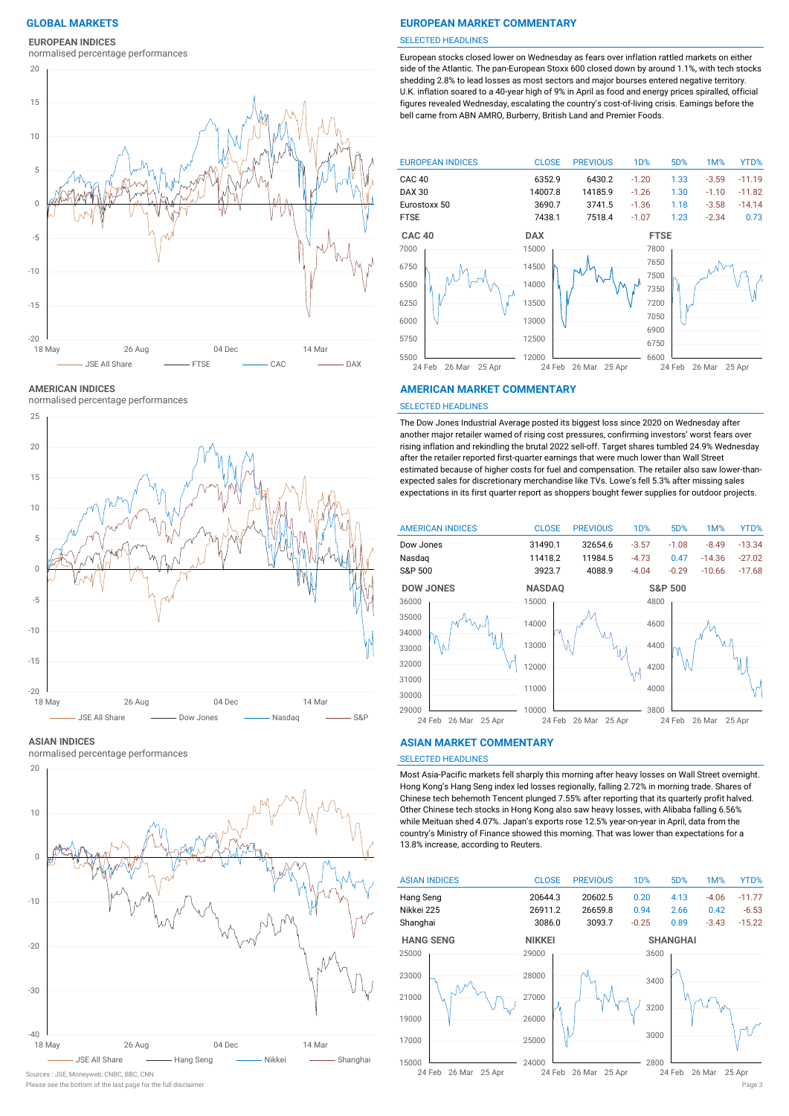**EUROPEAN INDICES**

normalised percentage performances



**AMERICAN INDICES**

normalised percentage performances



#### **ASIAN INDICES**

normalised percentage performances



Sources : JSE, Moneyweb, CNBC, BBC, CNN

# **GLOBAL MARKETS EUROPEAN MARKET COMMENTARY**

#### SELECTED HEADLINES

European stocks closed lower on Wednesday as fears over inflation rattled markets on either side of the Atlantic. The pan-European Stoxx 600 closed down by around 1.1%, with tech stocks shedding 2.8% to lead losses as most sectors and major bourses entered negative territory. U.K. inflation soared to a 40-year high of 9% in April as food and energy prices spiralled, official figures revealed Wednesday, escalating the country's cost-of-living crisis. Earnings before the bell came from ABN AMRO, Burberry, British Land and Premier Foods.



#### **AMERICAN MARKET COMMENTARY**

#### SELECTED HEADLINES

The Dow Jones Industrial Average posted its biggest loss since 2020 on Wednesday after another major retailer warned of rising cost pressures, confirming investors' worst fears over rising inflation and rekindling the brutal 2022 sell-off. Target shares tumbled 24.9% Wednesday after the retailer reported first-quarter earnings that were much lower than Wall Street estimated because of higher costs for fuel and compensation. The retailer also saw lower-thanexpected sales for discretionary merchandise like TVs. Lowe's fell 5.3% after missing sales expectations in its first quarter report as shoppers bought fewer supplies for outdoor projects.



#### **ASIAN MARKET COMMENTARY**

# SELECTED HEADLINES

Most Asia-Pacific markets fell sharply this morning after heavy losses on Wall Street overnight. Hong Kong's Hang Seng index led losses regionally, falling 2.72% in morning trade. Shares of Chinese tech behemoth Tencent plunged 7.55% after reporting that its quarterly profit halved. Other Chinese tech stocks in Hong Kong also saw heavy losses, with Alibaba falling 6.56% while Meituan shed 4.07%. Japan's exports rose 12.5% year-on-year in April, data from the country's Ministry of Finance showed this morning. That was lower than expectations for a 13.8% increase, according to Reuters.



Please see the bottom of the last page for the full disclaimer Page 3